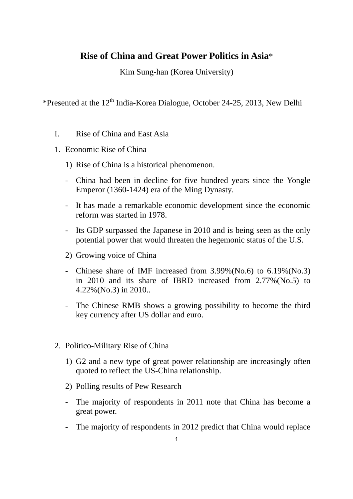## **Rise of China and Great Power Politics in Asia**\*

Kim Sung-han (Korea University)

\*Presented at the 12th India-Korea Dialogue, October 24-25, 2013, New Delhi

- I. Rise of China and East Asia
- 1. Economic Rise of China
	- 1) Rise of China is a historical phenomenon.
	- China had been in decline for five hundred years since the Yongle Emperor (1360-1424) era of the Ming Dynasty.
	- It has made a remarkable economic development since the economic reform was started in 1978.
	- Its GDP surpassed the Japanese in 2010 and is being seen as the only potential power that would threaten the hegemonic status of the U.S.
	- 2) Growing voice of China
	- Chinese share of IMF increased from 3.99%(No.6) to 6.19%(No.3) in 2010 and its share of IBRD increased from 2.77%(No.5) to 4.22%(No.3) in 2010..
	- The Chinese RMB shows a growing possibility to become the third key currency after US dollar and euro.
- 2. Politico-Military Rise of China
	- 1) G2 and a new type of great power relationship are increasingly often quoted to reflect the US-China relationship.
	- 2) Polling results of Pew Research
	- The majority of respondents in 2011 note that China has become a great power.
	- The majority of respondents in 2012 predict that China would replace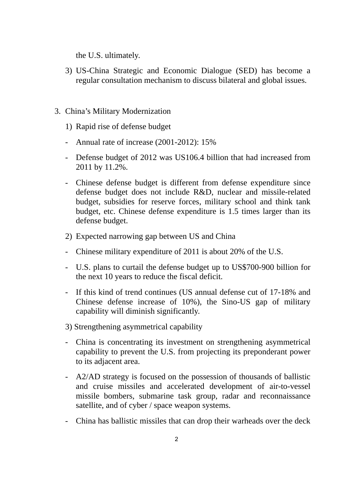the U.S. ultimately.

- 3) US-China Strategic and Economic Dialogue (SED) has become a regular consultation mechanism to discuss bilateral and global issues.
- 3. China's Military Modernization
	- 1) Rapid rise of defense budget
	- Annual rate of increase (2001-2012): 15%
	- Defense budget of 2012 was US106.4 billion that had increased from 2011 by 11.2%.
	- Chinese defense budget is different from defense expenditure since defense budget does not include R&D, nuclear and missile-related budget, subsidies for reserve forces, military school and think tank budget, etc. Chinese defense expenditure is 1.5 times larger than its defense budget.
	- 2) Expected narrowing gap between US and China
	- Chinese military expenditure of 2011 is about 20% of the U.S.
	- U.S. plans to curtail the defense budget up to US\$700-900 billion for the next 10 years to reduce the fiscal deficit.
	- If this kind of trend continues (US annual defense cut of 17-18% and Chinese defense increase of 10%), the Sino-US gap of military capability will diminish significantly.
	- 3) Strengthening asymmetrical capability
	- China is concentrating its investment on strengthening asymmetrical capability to prevent the U.S. from projecting its preponderant power to its adjacent area.
	- A2/AD strategy is focused on the possession of thousands of ballistic and cruise missiles and accelerated development of air-to-vessel missile bombers, submarine task group, radar and reconnaissance satellite, and of cyber / space weapon systems.
	- China has ballistic missiles that can drop their warheads over the deck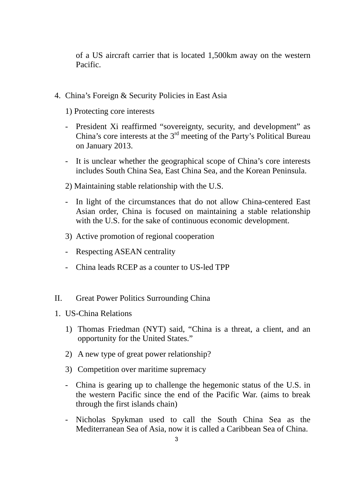of a US aircraft carrier that is located 1,500km away on the western Pacific.

- 4. China's Foreign & Security Policies in East Asia
	- 1) Protecting core interests
	- President Xi reaffirmed "sovereignty, security, and development" as China's core interests at the 3rd meeting of the Party's Political Bureau on January 2013.
	- It is unclear whether the geographical scope of China's core interests includes South China Sea, East China Sea, and the Korean Peninsula.
	- 2) Maintaining stable relationship with the U.S.
	- In light of the circumstances that do not allow China-centered East Asian order, China is focused on maintaining a stable relationship with the U.S. for the sake of continuous economic development.
	- 3) Active promotion of regional cooperation
	- Respecting ASEAN centrality
	- China leads RCEP as a counter to US-led TPP
- II. Great Power Politics Surrounding China
- 1. US-China Relations
	- 1) Thomas Friedman (NYT) said, "China is a threat, a client, and an opportunity for the United States."
	- 2) A new type of great power relationship?
	- 3) Competition over maritime supremacy
	- China is gearing up to challenge the hegemonic status of the U.S. in the western Pacific since the end of the Pacific War. (aims to break through the first islands chain)
	- Nicholas Spykman used to call the South China Sea as the Mediterranean Sea of Asia, now it is called a Caribbean Sea of China.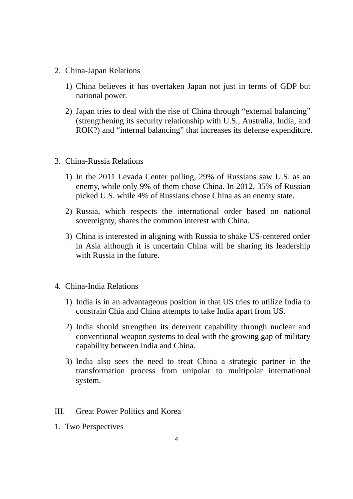- 2. China-Japan Relations
	- 1) China believes it has overtaken Japan not just in terms of GDP but national power.
	- 2) Japan tries to deal with the rise of China through "external balancing" (strengthening its security relationship with U.S., Australia, India, and ROK?) and "internal balancing" that increases its defense expenditure.
- 3. China-Russia Relations
	- 1) In the 2011 Levada Center polling, 29% of Russians saw U.S. as an enemy, while only 9% of them chose China. In 2012, 35% of Russian picked U.S. while 4% of Russians chose China as an enemy state.
	- 2) Russia, which respects the international order based on national sovereignty, shares the common interest with China.
	- 3) China is interested in aligning with Russia to shake US-centered order in Asia although it is uncertain China will be sharing its leadership with Russia in the future.
- 4. China-India Relations
	- 1) India is in an advantageous position in that US tries to utilize India to constrain Chia and China attempts to take India apart from US.
	- 2) India should strengthen its deterrent capability through nuclear and conventional weapon systems to deal with the growing gap of military capability between India and China.
	- 3) India also sees the need to treat China a strategic partner in the transformation process from unipolar to multipolar international system.
- III. Great Power Politics and Korea
- 1. Two Perspectives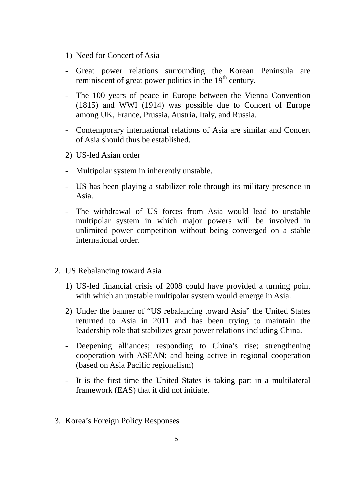- 1) Need for Concert of Asia
- Great power relations surrounding the Korean Peninsula are reminiscent of great power politics in the  $19<sup>th</sup>$  century.
- The 100 years of peace in Europe between the Vienna Convention (1815) and WWI (1914) was possible due to Concert of Europe among UK, France, Prussia, Austria, Italy, and Russia.
- Contemporary international relations of Asia are similar and Concert of Asia should thus be established.
- 2) US-led Asian order
- Multipolar system in inherently unstable.
- US has been playing a stabilizer role through its military presence in Asia.
- The withdrawal of US forces from Asia would lead to unstable multipolar system in which major powers will be involved in unlimited power competition without being converged on a stable international order.
- 2. US Rebalancing toward Asia
	- 1) US-led financial crisis of 2008 could have provided a turning point with which an unstable multipolar system would emerge in Asia.
	- 2) Under the banner of "US rebalancing toward Asia" the United States returned to Asia in 2011 and has been trying to maintain the leadership role that stabilizes great power relations including China.
	- Deepening alliances; responding to China's rise; strengthening cooperation with ASEAN; and being active in regional cooperation (based on Asia Pacific regionalism)
	- It is the first time the United States is taking part in a multilateral framework (EAS) that it did not initiate.
- 3. Korea's Foreign Policy Responses